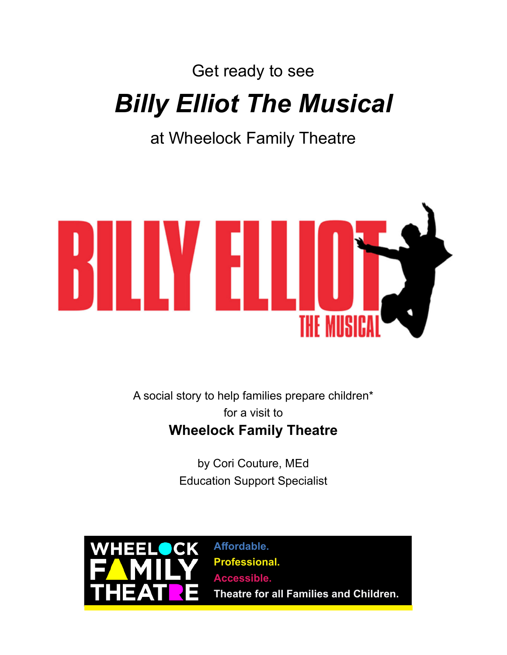## Get ready to see *Billy Elliot The Musical*

at Wheelock Family Theatre



A social story to help families prepare children\* for a visit to **Wheelock Family Theatre**

> by Cori Couture, MEd Education Support Specialist



**Affordable. Professional. Accessible. Theatre for all Families and Children.**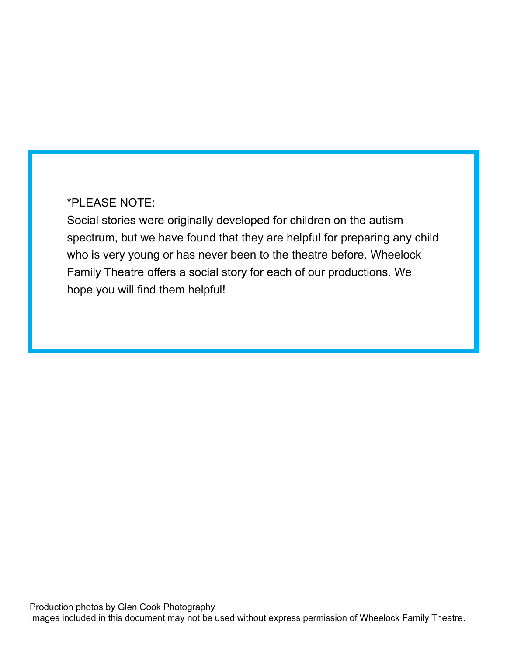## \*PLEASE NOTE:

Social stories were originally developed for children on the autism spectrum, but we have found that they are helpful for preparing any child who is very young or has never been to the theatre before. Wheelock Family Theatre offers a social story for each of our productions. We hope you will find them helpful!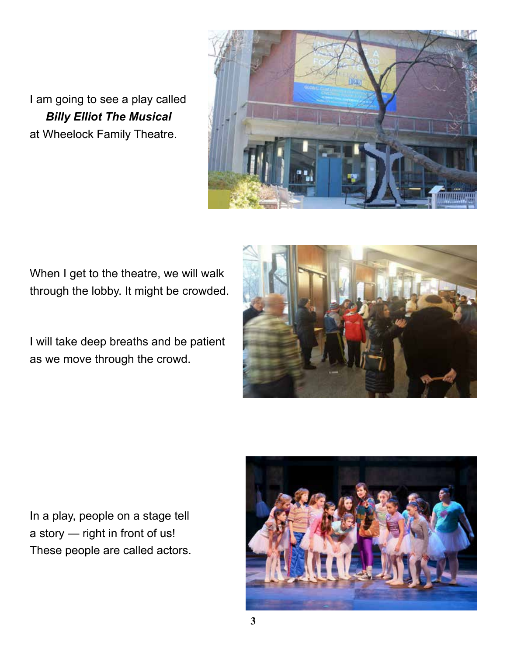I am going to see a play called *Billy Elliot The Musical* at Wheelock Family Theatre.



When I get to the theatre, we will walk through the lobby. It might be crowded.

I will take deep breaths and be patient as we move through the crowd.



In a play, people on a stage tell a story — right in front of us! These people are called actors.

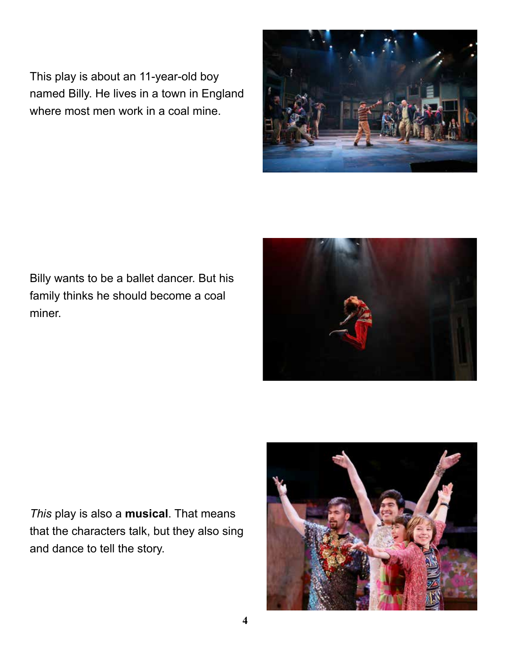This play is about an 11-year-old boy named Billy. He lives in a town in England where most men work in a coal mine.



*This* play is also a **musical**. That means that the characters talk, but they also sing and dance to tell the story.





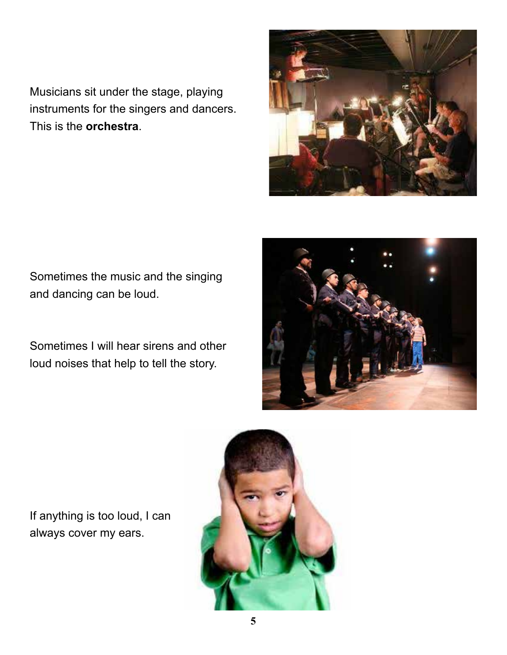Musicians sit under the stage, playing instruments for the singers and dancers. This is the **orchestra**.



Sometimes the music and the singing and dancing can be loud.

Sometimes I will hear sirens and other loud noises that help to tell the story.



If anything is too loud, I can always cover my ears.

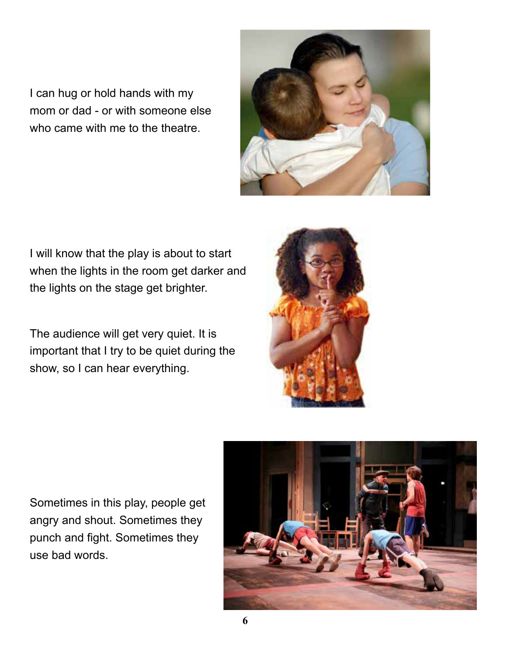I can hug or hold hands with my mom or dad - or with someone else who came with me to the theatre.



I will know that the play is about to start when the lights in the room get darker and the lights on the stage get brighter.

The audience will get very quiet. It is important that I try to be quiet during the show, so I can hear everything.



Sometimes in this play, people get angry and shout. Sometimes they punch and fight. Sometimes they use bad words.

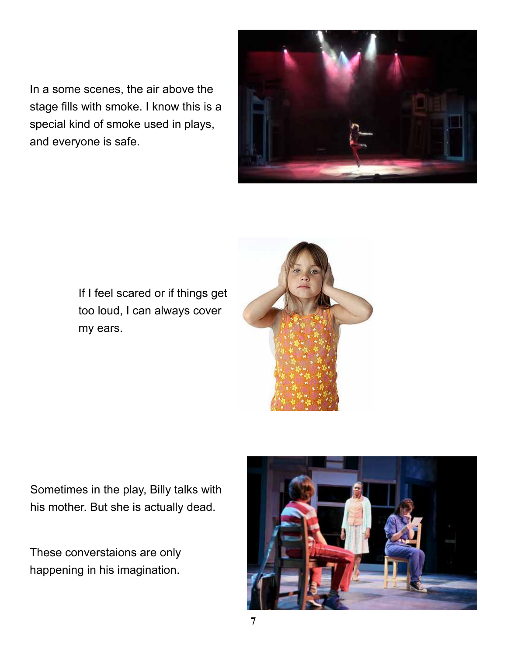In a some scenes, the air above the stage fills with smoke. I know this is a special kind of smoke used in plays, and everyone is safe.



If I feel scared or if things get too loud, I can always cover my ears.



Sometimes in the play, Billy talks with his mother. But she is actually dead.

These converstaions are only happening in his imagination.

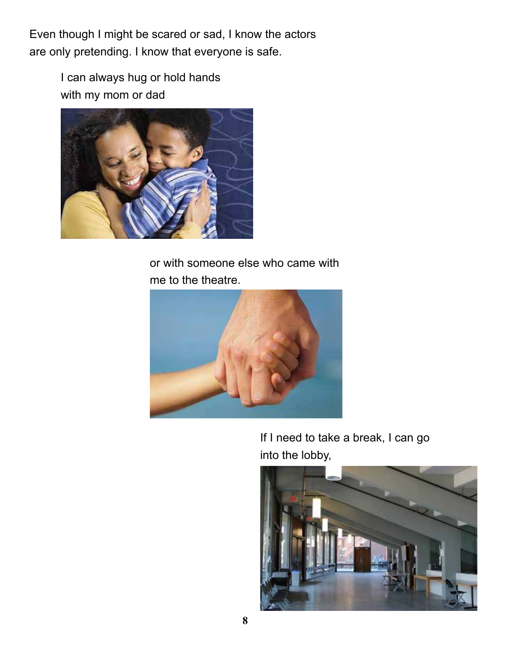Even though I might be scared or sad, I know the actors are only pretending. I know that everyone is safe.

> I can always hug or hold hands with my mom or dad



or with someone else who came with me to the theatre.



If I need to take a break, I can go into the lobby,

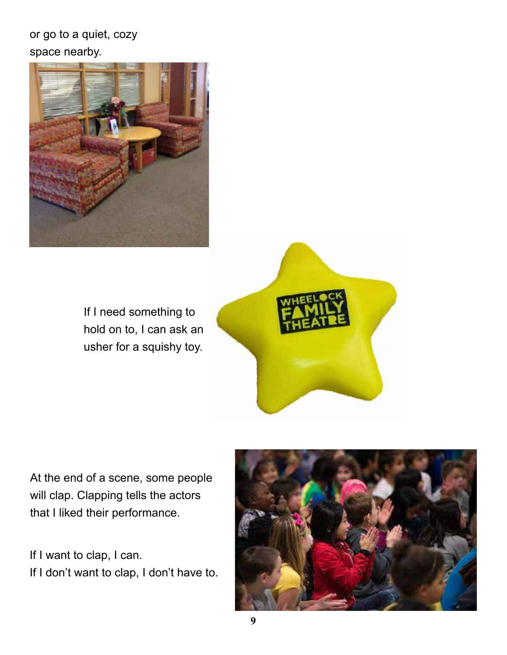or go to a quiet, cozy space nearby.



If I need something to hold on to, I can ask an usher for a squishy toy.



At the end of a scene, some people will clap. Clapping tells the actors that I liked their performance.

If I want to clap, I can. If I don't want to clap, I don't have to.

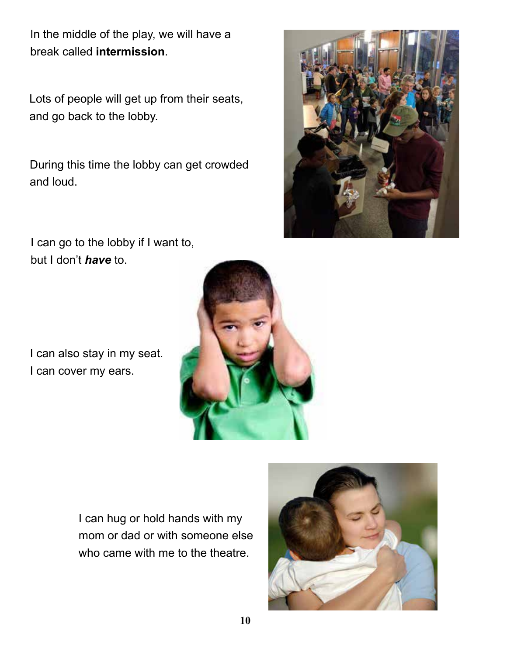In the middle of the play, we will have a break called **intermission**.

Lots of people will get up from their seats, and go back to the lobby.

During this time the lobby can get crowded and loud.



I can go to the lobby if I want to, but I don't *have* to.

I can also stay in my seat. I can cover my ears.



I can hug or hold hands with my mom or dad or with someone else who came with me to the theatre.

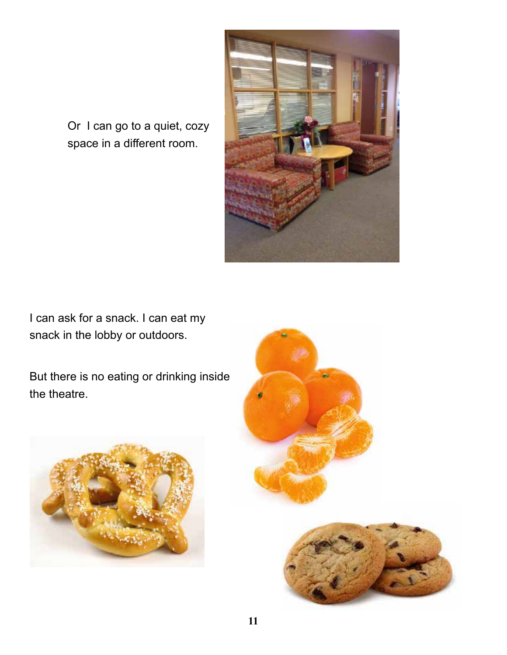

Or I can go to a quiet, cozy space in a different room.

I can ask for a snack. I can eat my snack in the lobby or outdoors.

But there is no eating or drinking inside the theatre.



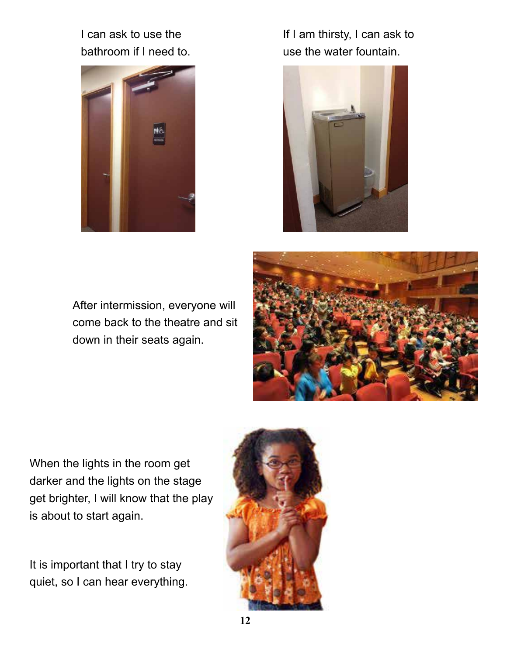I can ask to use the bathroom if I need to.



If I am thirsty, I can ask to use the water fountain.



After intermission, everyone will come back to the theatre and sit down in their seats again.



When the lights in the room get darker and the lights on the stage get brighter, I will know that the play is about to start again.

It is important that I try to stay quiet, so I can hear everything.

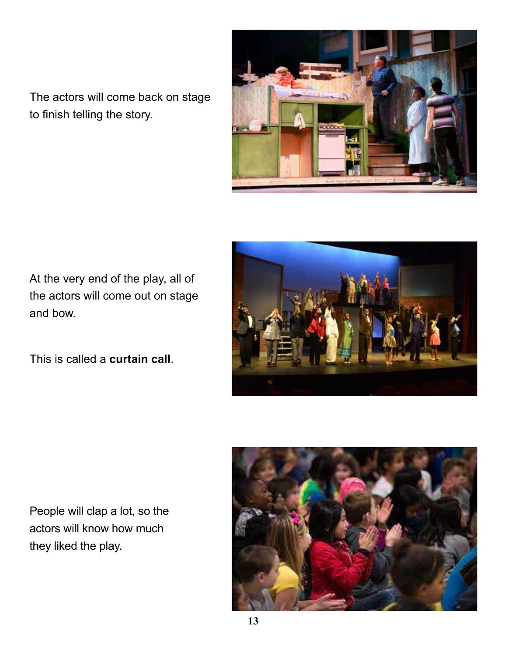The actors will come back on stage to finish telling the story.



At the very end of the play, all of the actors will come out on stage and bow.

This is called a **curtain call**.



People will clap a lot, so the actors will know how much they liked the play.

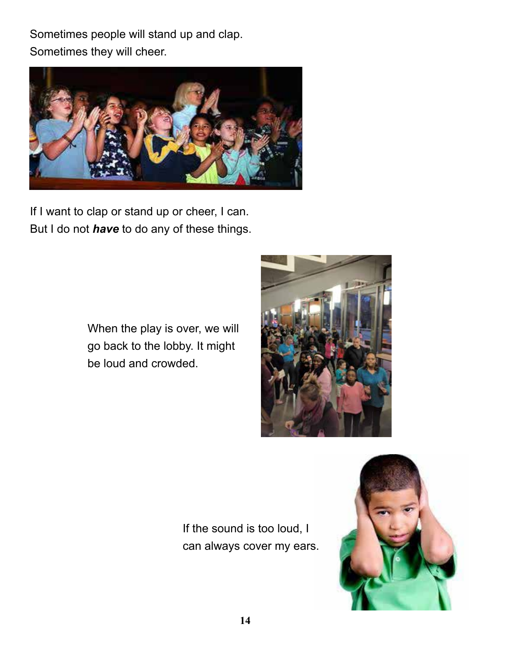Sometimes people will stand up and clap. Sometimes they will cheer.



If I want to clap or stand up or cheer, I can. But I do not *have* to do any of these things.

> When the play is over, we will go back to the lobby. It might be loud and crowded.



If the sound is too loud, I can always cover my ears.

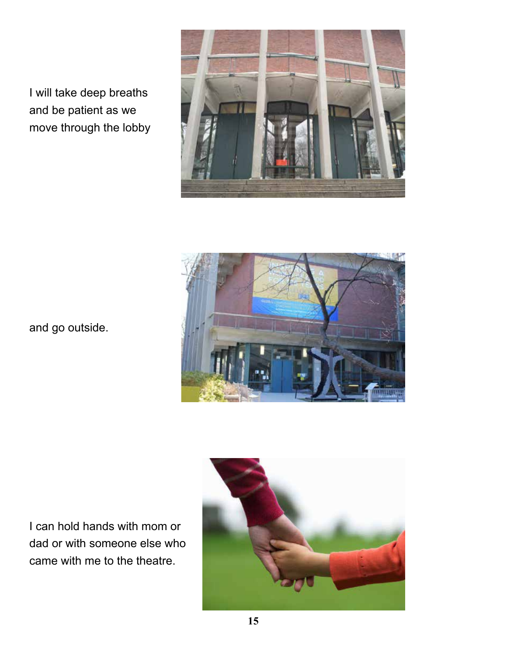I will take deep breaths and be patient as we move through the lobby





and go outside.

I can hold hands with mom or dad or with someone else who came with me to the theatre.